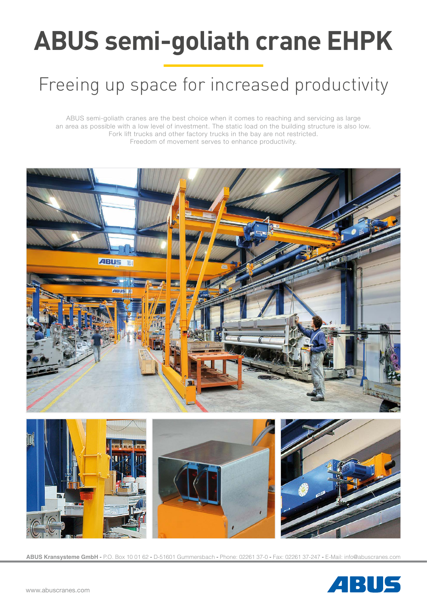# **ABUS semi-goliath crane EHPK**

# Freeing up space for increased productivity

ABUS semi-goliath cranes are the best choice when it comes to reaching and servicing as large an area as possible with a low level of investment. The static load on the building structure is also low. Fork lift trucks and other factory trucks in the bay are not restricted. Freedom of movement serves to enhance productivity.





**ABUS Kransysteme GmbH -** P.O. Box 10 01 62 **-** D-51601 Gummersbach **-** Phone: 02261 37-0 **-** Fax: 02261 37-247 **-** E-Mail: info@abuscranes.com